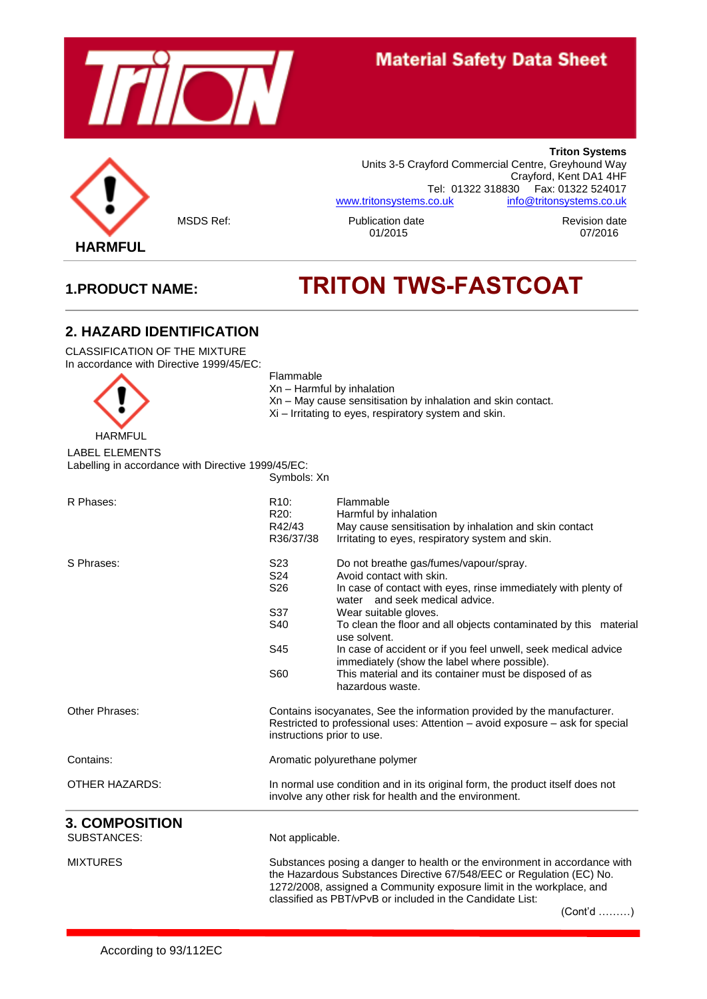



**Triton Systems** Units 3-5 Crayford Commercial Centre, Greyhound Way Crayford, Kent DA1 4HF Tel: 01322 318830 Fax: 01322 524017 [www.tritonsystems.co.uk](http://www.tritonsystems.co.uk/) [info@tritonsystems.co.uk](mailto:info@tritonsystems.co.uk)

MSDS Ref: Publication date Revision date

# **1.PRODUCT NAME: TRITON TWS-FASTCOAT**

## **2. HAZARD IDENTIFICATION**

CLASSIFICATION OF THE MIXTURE In accordance with Directive 1999/45/EC:



Flammable Xn – Harmful by inhalation

- Xn May cause sensitisation by inhalation and skin contact.
- Xi Irritating to eyes, respiratory system and skin.

## LABEL ELEMENTS

Labelling in accordance with Directive 1999/45/EC: Symbols: Xn

| R Phases:                                   | R <sub>10</sub> :<br>R <sub>20</sub> :<br>R42/43<br>R36/37/38                                                                                                                                                                                                                                          | Flammable<br>Harmful by inhalation<br>May cause sensitisation by inhalation and skin contact<br>Irritating to eyes, respiratory system and skin.                                                                                                                                                                                                                                                      |
|---------------------------------------------|--------------------------------------------------------------------------------------------------------------------------------------------------------------------------------------------------------------------------------------------------------------------------------------------------------|-------------------------------------------------------------------------------------------------------------------------------------------------------------------------------------------------------------------------------------------------------------------------------------------------------------------------------------------------------------------------------------------------------|
| S Phrases:                                  | S <sub>23</sub><br>S24<br>S <sub>26</sub><br>S37<br>S40<br>S45                                                                                                                                                                                                                                         | Do not breathe gas/fumes/vapour/spray.<br>Avoid contact with skin.<br>In case of contact with eyes, rinse immediately with plenty of<br>water and seek medical advice.<br>Wear suitable gloves.<br>To clean the floor and all objects contaminated by this material<br>use solvent.<br>In case of accident or if you feel unwell, seek medical advice<br>immediately (show the label where possible). |
|                                             | S60                                                                                                                                                                                                                                                                                                    | This material and its container must be disposed of as<br>hazardous waste.                                                                                                                                                                                                                                                                                                                            |
| Other Phrases:                              | Contains isocyanates, See the information provided by the manufacturer.<br>Restricted to professional uses: Attention - avoid exposure - ask for special<br>instructions prior to use.                                                                                                                 |                                                                                                                                                                                                                                                                                                                                                                                                       |
| Contains:                                   |                                                                                                                                                                                                                                                                                                        | Aromatic polyurethane polymer                                                                                                                                                                                                                                                                                                                                                                         |
| <b>OTHER HAZARDS:</b>                       | In normal use condition and in its original form, the product itself does not<br>involve any other risk for health and the environment.                                                                                                                                                                |                                                                                                                                                                                                                                                                                                                                                                                                       |
| <b>3. COMPOSITION</b><br><b>SUBSTANCES:</b> | Not applicable.                                                                                                                                                                                                                                                                                        |                                                                                                                                                                                                                                                                                                                                                                                                       |
| <b>MIXTURES</b>                             | Substances posing a danger to health or the environment in accordance with<br>the Hazardous Substances Directive 67/548/EEC or Regulation (EC) No.<br>1272/2008, assigned a Community exposure limit in the workplace, and<br>classified as PBT/vPvB or included in the Candidate List:<br>$(Cont'd$ ) |                                                                                                                                                                                                                                                                                                                                                                                                       |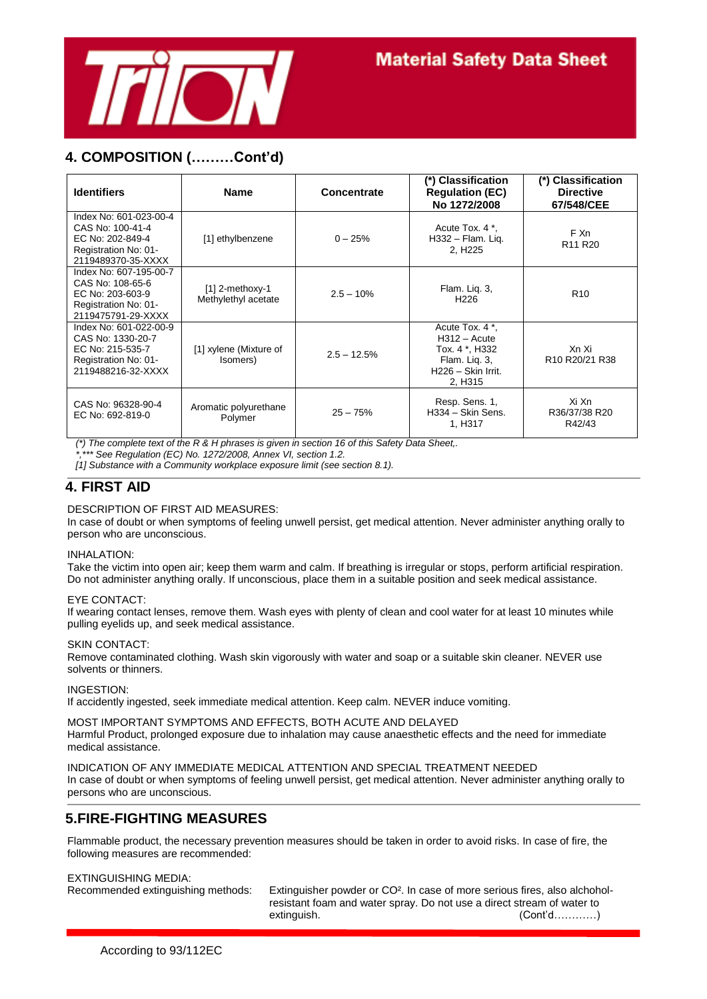

## **4. COMPOSITION (………Cont'd)**

| <b>Identifiers</b>                                                                                            | <b>Name</b>                              | Concentrate   | (*) Classification<br><b>Regulation (EC)</b><br>No 1272/2008                                          | (*) Classification<br><b>Directive</b><br>67/548/CEE         |
|---------------------------------------------------------------------------------------------------------------|------------------------------------------|---------------|-------------------------------------------------------------------------------------------------------|--------------------------------------------------------------|
| Index No: 601-023-00-4<br>CAS No: 100-41-4<br>EC No: 202-849-4<br>Registration No: 01-<br>2119489370-35-XXXX  | [1] ethylbenzene                         | $0 - 25%$     | Acute Tox, 4 *.<br>$H332 - Flam.$ Liq.<br>2, H <sub>225</sub>                                         | F Xn<br>R <sub>11</sub> R <sub>20</sub>                      |
| Index No: 607-195-00-7<br>CAS No: 108-65-6<br>EC No: 203-603-9<br>Registration No: 01-<br>2119475791-29-XXXX  | $[1]$ 2-methoxy-1<br>Methylethyl acetate | $2.5 - 10%$   | Flam. Lig. 3,<br>H <sub>226</sub>                                                                     | R <sub>10</sub>                                              |
| Index No: 601-022-00-9<br>CAS No: 1330-20-7<br>EC No: 215-535-7<br>Registration No: 01-<br>2119488216-32-XXXX | [1] xylene (Mixture of<br>(somers)       | $2.5 - 12.5%$ | Acute Tox. 4 *.<br>$H312 - Acute$<br>Tox. 4 *, H332<br>Flam. Lig. 3,<br>H226 - Skin Irrit.<br>2, H315 | Xn Xi<br>R <sub>10</sub> R <sub>20</sub> /21 R <sub>38</sub> |
| CAS No: 96328-90-4<br>EC No: 692-819-0                                                                        | Aromatic polyurethane<br>Polymer         | $25 - 75%$    | Resp. Sens. 1,<br>H334 - Skin Sens.<br>1, H317                                                        | Xi Xn<br>R36/37/38 R20<br>R42/43                             |

*(\*) The complete text of the R & H phrases is given in section 16 of this Safety Data Sheet,.*

*\*,\*\*\* See Regulation (EC) No. 1272/2008, Annex VI, section 1.2.*

*[1] Substance with a Community workplace exposure limit (see section 8.1).*

## **4. FIRST AID**

#### DESCRIPTION OF FIRST AID MEASURES:

In case of doubt or when symptoms of feeling unwell persist, get medical attention. Never administer anything orally to person who are unconscious.

#### INHALATION:

Take the victim into open air; keep them warm and calm. If breathing is irregular or stops, perform artificial respiration. Do not administer anything orally. If unconscious, place them in a suitable position and seek medical assistance.

#### EYE CONTACT:

If wearing contact lenses, remove them. Wash eyes with plenty of clean and cool water for at least 10 minutes while pulling eyelids up, and seek medical assistance.

#### SKIN CONTACT:

Remove contaminated clothing. Wash skin vigorously with water and soap or a suitable skin cleaner. NEVER use solvents or thinners.

INGESTION:

If accidently ingested, seek immediate medical attention. Keep calm. NEVER induce vomiting.

MOST IMPORTANT SYMPTOMS AND EFFECTS, BOTH ACUTE AND DELAYED Harmful Product, prolonged exposure due to inhalation may cause anaesthetic effects and the need for immediate medical assistance.

INDICATION OF ANY IMMEDIATE MEDICAL ATTENTION AND SPECIAL TREATMENT NEEDED In case of doubt or when symptoms of feeling unwell persist, get medical attention. Never administer anything orally to persons who are unconscious.

## **5.FIRE-FIGHTING MEASURES**

Flammable product, the necessary prevention measures should be taken in order to avoid risks. In case of fire, the following measures are recommended:

#### EXTINGUISHING MEDIA:

Recommended extinguishing methods: Extinguisher powder or CO². In case of more serious fires, also alchoholresistant foam and water spray. Do not use a direct stream of water to extinguish. (Cont'd…………)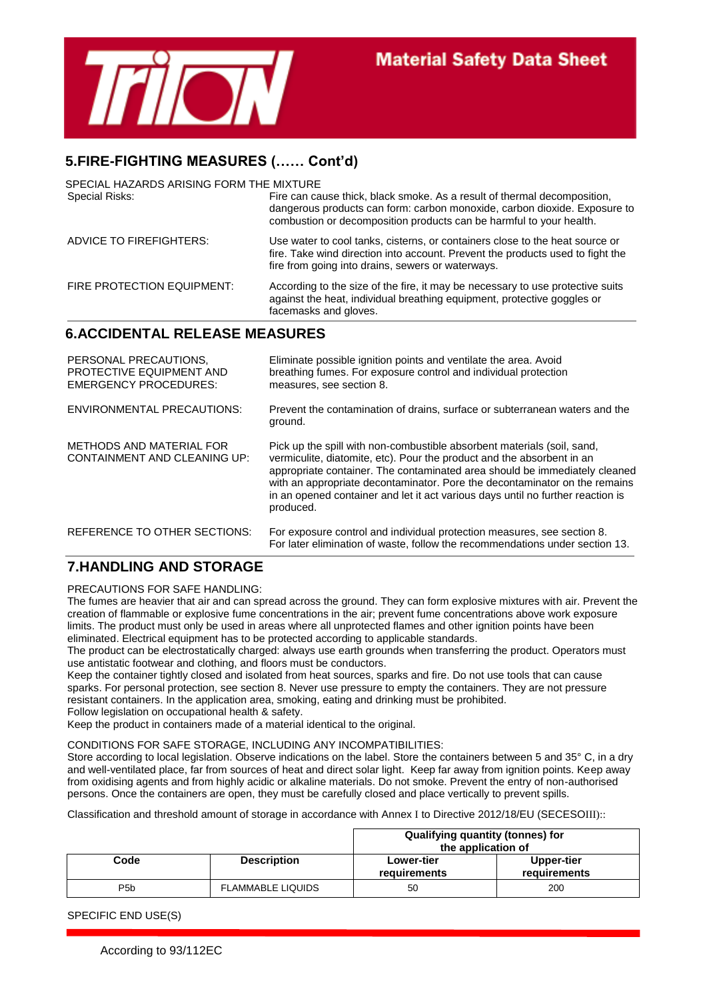

## **5.FIRE-FIGHTING MEASURES (…… Cont'd)**

| <b>6.ACCIDENTAL RELEASE MEASURES</b><br>DEDCONIAL DDECALITIONIC   | Eliminate people lanition points and ventilate the area. Avoid                                                                                                                                                               |
|-------------------------------------------------------------------|------------------------------------------------------------------------------------------------------------------------------------------------------------------------------------------------------------------------------|
| FIRE PROTECTION EQUIPMENT:                                        | According to the size of the fire, it may be necessary to use protective suits<br>against the heat, individual breathing equipment, protective goggles or<br>facemasks and gloves.                                           |
| ADVICE TO FIREFIGHTERS:                                           | Use water to cool tanks, cisterns, or containers close to the heat source or<br>fire. Take wind direction into account. Prevent the products used to fight the<br>fire from going into drains, sewers or waterways.          |
| SPECIAL HAZARDS ARISING FORM THE MIXTURE<br><b>Special Risks:</b> | Fire can cause thick, black smoke. As a result of thermal decomposition,<br>dangerous products can form: carbon monoxide, carbon dioxide. Exposure to<br>combustion or decomposition products can be harmful to your health. |

| <u>LLIWOINAL LINLUAU HUNU.</u><br>PROTECTIVE EQUIPMENT AND<br><b>EMERGENCY PROCEDURES:</b> | Lillingue possible ignition points and ventilate the area. Avoid<br>breathing fumes. For exposure control and individual protection<br>measures, see section 8.                                                                                                                                                                                                                                               |
|--------------------------------------------------------------------------------------------|---------------------------------------------------------------------------------------------------------------------------------------------------------------------------------------------------------------------------------------------------------------------------------------------------------------------------------------------------------------------------------------------------------------|
| <b>ENVIRONMENTAL PRECAUTIONS:</b>                                                          | Prevent the contamination of drains, surface or subterranean waters and the<br>ground.                                                                                                                                                                                                                                                                                                                        |
| METHODS AND MATERIAL FOR<br>CONTAINMENT AND CLEANING UP:                                   | Pick up the spill with non-combustible absorbent materials (soil, sand,<br>vermiculite, diatomite, etc). Pour the product and the absorbent in an<br>appropriate container. The contaminated area should be immediately cleaned<br>with an appropriate decontaminator. Pore the decontaminator on the remains<br>in an opened container and let it act various days until no further reaction is<br>produced. |
| REFERENCE TO OTHER SECTIONS:                                                               | For exposure control and individual protection measures, see section 8.<br>For later elimination of waste, follow the recommendations under section 13.                                                                                                                                                                                                                                                       |

## **7.HANDLING AND STORAGE**

PRECAUTIONS FOR SAFE HANDLING:

The fumes are heavier that air and can spread across the ground. They can form explosive mixtures with air. Prevent the creation of flammable or explosive fume concentrations in the air; prevent fume concentrations above work exposure limits. The product must only be used in areas where all unprotected flames and other ignition points have been eliminated. Electrical equipment has to be protected according to applicable standards.

The product can be electrostatically charged: always use earth grounds when transferring the product. Operators must use antistatic footwear and clothing, and floors must be conductors.

Keep the container tightly closed and isolated from heat sources, sparks and fire. Do not use tools that can cause sparks. For personal protection, see section 8. Never use pressure to empty the containers. They are not pressure resistant containers. In the application area, smoking, eating and drinking must be prohibited. Follow legislation on occupational health & safety.

Keep the product in containers made of a material identical to the original.

CONDITIONS FOR SAFE STORAGE, INCLUDING ANY INCOMPATIBILITIES:

Store according to local legislation. Observe indications on the label. Store the containers between 5 and 35° C, in a dry and well-ventilated place, far from sources of heat and direct solar light. Keep far away from ignition points. Keep away from oxidising agents and from highly acidic or alkaline materials. Do not smoke. Prevent the entry of non-authorised persons. Once the containers are open, they must be carefully closed and place vertically to prevent spills.

Classification and threshold amount of storage in accordance with Annex I to Directive 2012/18/EU (SECESOIII)::

|                  |                          | Qualifying quantity (tonnes) for<br>the application of |                            |
|------------------|--------------------------|--------------------------------------------------------|----------------------------|
| Code             | <b>Description</b>       | <b>Lower-tier</b><br>requirements                      | Upper-tier<br>requirements |
| P <sub>5</sub> b | <b>FLAMMABLE LIQUIDS</b> | 50                                                     | 200                        |

SPECIFIC END USE(S)

According to 93/112EC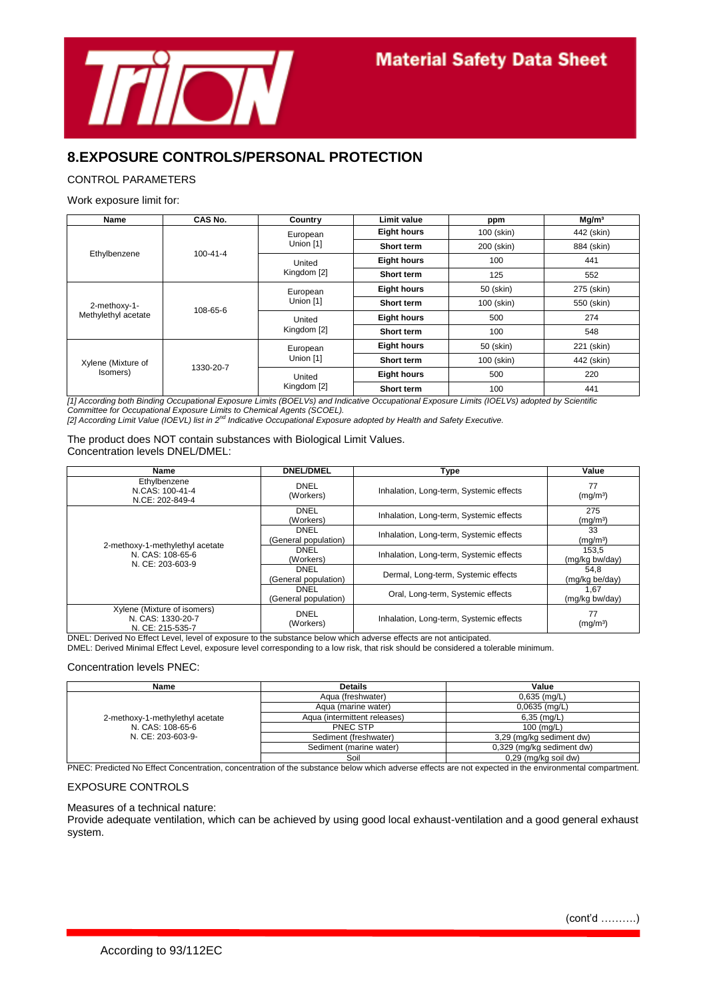

## **8.EXPOSURE CONTROLS/PERSONAL PROTECTION**

#### CONTROL PARAMETERS

#### Work exposure limit for:

| Name                                | CAS No.        | Country               | Limit value        | ppm        | Mg/m <sup>3</sup> |
|-------------------------------------|----------------|-----------------------|--------------------|------------|-------------------|
|                                     |                | European              | <b>Eight hours</b> | 100 (skin) | 442 (skin)        |
|                                     | $100 - 41 - 4$ | Union [1]             | Short term         | 200 (skin) | 884 (skin)        |
| Ethylbenzene                        |                | United                | <b>Eight hours</b> | 100        | 441               |
|                                     |                | Kingdom [2]           | Short term         | 125        | 552               |
| 2-methoxy-1-<br>Methylethyl acetate |                | European              | <b>Eight hours</b> | 50 (skin)  | 275 (skin)        |
|                                     | 108-65-6       | Union [1]             | Short term         | 100 (skin) | 550 (skin)        |
|                                     |                | United<br>Kingdom [2] | <b>Eight hours</b> | 500        | 274               |
|                                     |                |                       | <b>Short term</b>  | 100        | 548               |
| Xylene (Mixture of<br>Isomers)      |                | European              | <b>Eight hours</b> | 50 (skin)  | 221 (skin)        |
|                                     | 1330-20-7      | Union [1]             | Short term         | 100 (skin) | 442 (skin)        |
|                                     |                | United                | <b>Eight hours</b> | 500        | 220               |
|                                     |                | Kingdom [2]           | Short term         | 100        | 441               |

*[1] According both Binding Occupational Exposure Limits (BOELVs) and Indicative Occupational Exposure Limits (IOELVs) adopted by Scientific Committee for Occupational Exposure Limits to Chemical Agents (SCOEL). [2] According Limit Value (IOEVL) list in 2nd Indicative Occupational Exposure adopted by Health and Safety Executive.* 

The product does NOT contain substances with Biological Limit Values. Concentration levels DNEL/DMEL:

| Name                                                                    | <b>DNEL/DMEL</b>                    | Type                                    | Value                       |
|-------------------------------------------------------------------------|-------------------------------------|-----------------------------------------|-----------------------------|
| Ethylbenzene<br>N.CAS: 100-41-4<br>N.CE: 202-849-4                      | <b>DNEL</b><br>(Workers)            | Inhalation, Long-term, Systemic effects | 77<br>(mg/m <sup>3</sup> )  |
| 2-methoxy-1-methylethyl acetate<br>N. CAS: 108-65-6<br>N. CE: 203-603-9 | <b>DNEL</b><br>(Workers)            | Inhalation, Long-term, Systemic effects | 275<br>(mg/m <sup>3</sup> ) |
|                                                                         | <b>DNEL</b><br>(General population) | Inhalation, Long-term, Systemic effects | 33<br>(mg/m <sup>3</sup> )  |
|                                                                         | <b>DNEL</b><br>(Workers)            | Inhalation, Long-term, Systemic effects | 153.5<br>(mg/kg bw/day)     |
|                                                                         | <b>DNEL</b><br>(General population) | Dermal, Long-term, Systemic effects     | 54.8<br>(mg/kg be/day)      |
|                                                                         | <b>DNEL</b><br>(General population) | Oral, Long-term, Systemic effects       | 1.67<br>(mg/kg bw/day)      |
| Xylene (Mixture of isomers)<br>N. CAS: 1330-20-7<br>N. CE: 215-535-7    | <b>DNEL</b><br>(Workers)            | Inhalation, Long-term, Systemic effects | 77<br>(mg/m <sup>3</sup> )  |

DNEL: Derived No Effect Level, level of exposure to the substance below which adverse effects are not anticipated.

DMEL: Derived Minimal Effect Level, exposure level corresponding to a low risk, that risk should be considered a tolerable minimum.

#### Concentration levels PNEC:

| Name                                                                     | <b>Details</b>               | Value                     |
|--------------------------------------------------------------------------|------------------------------|---------------------------|
| 2-methoxy-1-methylethyl acetate<br>N. CAS: 108-65-6<br>N. CE: 203-603-9- | Agua (freshwater)            | $0,635$ (mg/L)            |
|                                                                          | Agua (marine water)          | 0,0635 (mg/L)             |
|                                                                          | Agua (intermittent releases) | $6,35$ (mg/L)             |
|                                                                          | PNEC STP                     | $100$ (mg/L)              |
|                                                                          | Sediment (freshwater)        | 3,29 (mg/kg sediment dw)  |
|                                                                          | Sediment (marine water)      | 0,329 (mg/kg sediment dw) |
|                                                                          | Soil                         | 0,29 (mg/kg soil dw)      |

PNEC: Predicted No Effect Concentration, concentration of the substance below which adverse effects are not expected in the environmental compartment.

### EXPOSURE CONTROLS

Measures of a technical nature:

Provide adequate ventilation, which can be achieved by using good local exhaust-ventilation and a good general exhaust system.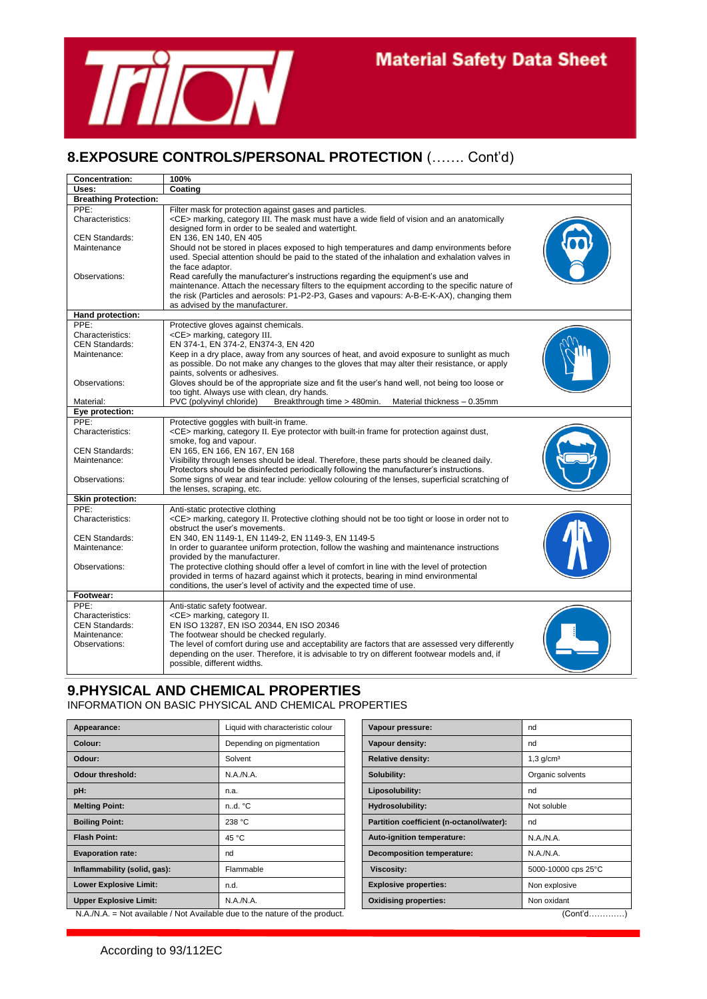

## **8.EXPOSURE CONTROLS/PERSONAL PROTECTION** (……. Cont'd)

| <b>Concentration:</b>                     | 100%                                                                                                                                                                                       |
|-------------------------------------------|--------------------------------------------------------------------------------------------------------------------------------------------------------------------------------------------|
| Uses:                                     | Coating                                                                                                                                                                                    |
| <b>Breathing Protection:</b>              |                                                                                                                                                                                            |
| PPE:                                      | Filter mask for protection against gases and particles.                                                                                                                                    |
| Characteristics:                          | <ce> marking, category III. The mask must have a wide field of vision and an anatomically</ce>                                                                                             |
|                                           | designed form in order to be sealed and watertight.                                                                                                                                        |
| <b>CEN Standards:</b>                     | EN 136, EN 140, EN 405                                                                                                                                                                     |
| Maintenance                               | Should not be stored in places exposed to high temperatures and damp environments before                                                                                                   |
|                                           | used. Special attention should be paid to the stated of the inhalation and exhalation valves in                                                                                            |
|                                           | the face adaptor.                                                                                                                                                                          |
| Observations:                             | Read carefully the manufacturer's instructions regarding the equipment's use and                                                                                                           |
|                                           | maintenance. Attach the necessary filters to the equipment according to the specific nature of                                                                                             |
|                                           | the risk (Particles and aerosols: P1-P2-P3, Gases and vapours: A-B-E-K-AX), changing them                                                                                                  |
|                                           | as advised by the manufacturer.                                                                                                                                                            |
| Hand protection:                          |                                                                                                                                                                                            |
| PPE:                                      | Protective gloves against chemicals.                                                                                                                                                       |
| Characteristics:<br><b>CEN Standards:</b> | <ce> marking, category III.<br/>EN 374-1, EN 374-2, EN374-3, EN 420</ce>                                                                                                                   |
| Maintenance:                              |                                                                                                                                                                                            |
|                                           | Keep in a dry place, away from any sources of heat, and avoid exposure to sunlight as much<br>as possible. Do not make any changes to the gloves that may alter their resistance, or apply |
|                                           | paints, solvents or adhesives.                                                                                                                                                             |
| Observations:                             | Gloves should be of the appropriate size and fit the user's hand well, not being too loose or                                                                                              |
|                                           | too tight. Always use with clean, dry hands.                                                                                                                                               |
| Material:                                 | PVC (polyvinyl chloride)<br>Breakthrough time > 480min.<br>Material thickness - 0.35mm                                                                                                     |
| Eye protection:                           |                                                                                                                                                                                            |
| PPE:                                      | Protective goggles with built-in frame.                                                                                                                                                    |
| Characteristics:                          | <ce> marking, category II. Eye protector with built-in frame for protection against dust,</ce>                                                                                             |
|                                           | smoke, fog and vapour.                                                                                                                                                                     |
| <b>CEN Standards:</b>                     | EN 165, EN 166, EN 167, EN 168                                                                                                                                                             |
| Maintenance:                              | Visibility through lenses should be ideal. Therefore, these parts should be cleaned daily.                                                                                                 |
|                                           | Protectors should be disinfected periodically following the manufacturer's instructions.                                                                                                   |
| Observations:                             | Some signs of wear and tear include: yellow colouring of the lenses, superficial scratching of                                                                                             |
|                                           | the lenses, scraping, etc.                                                                                                                                                                 |
| Skin protection:                          |                                                                                                                                                                                            |
| PPE:<br>Characteristics:                  | Anti-static protective clothing                                                                                                                                                            |
|                                           | <ce> marking, category II. Protective clothing should not be too tight or loose in order not to<br/>obstruct the user's movements.</ce>                                                    |
| <b>CEN Standards:</b>                     | EN 340, EN 1149-1, EN 1149-2, EN 1149-3, EN 1149-5                                                                                                                                         |
| Maintenance:                              | In order to guarantee uniform protection, follow the washing and maintenance instructions                                                                                                  |
|                                           | provided by the manufacturer.                                                                                                                                                              |
| Observations:                             | The protective clothing should offer a level of comfort in line with the level of protection                                                                                               |
|                                           | provided in terms of hazard against which it protects, bearing in mind environmental                                                                                                       |
|                                           | conditions, the user's level of activity and the expected time of use.                                                                                                                     |
| Footwear:                                 |                                                                                                                                                                                            |
| PPE:                                      | Anti-static safety footwear.                                                                                                                                                               |
| Characteristics:                          | <ce> marking, category II.</ce>                                                                                                                                                            |
| <b>CEN Standards:</b>                     | EN ISO 13287, EN ISO 20344, EN ISO 20346                                                                                                                                                   |
| Maintenance:                              | The footwear should be checked regularly.                                                                                                                                                  |
| Observations:                             | The level of comfort during use and acceptability are factors that are assessed very differently                                                                                           |
|                                           | depending on the user. Therefore, it is advisable to try on different footwear models and, if                                                                                              |
|                                           | possible, different widths.                                                                                                                                                                |

## **9.PHYSICAL AND CHEMICAL PROPERTIES**

INFORMATION ON BASIC PHYSICAL AND CHEMICAL PROPERTIES

| Appearance:                   | Liquid with characteristic colour | Vapour pressure:                         | nd                                         |
|-------------------------------|-----------------------------------|------------------------------------------|--------------------------------------------|
| Colour:                       | Depending on pigmentation         | Vapour density:                          | nd                                         |
| Odour:                        | Solvent                           | <b>Relative density:</b>                 | $1,3$ g/cm <sup>3</sup>                    |
| <b>Odour threshold:</b>       | N.A.N.A.                          | Solubility:                              | Organic solvents                           |
| pH:                           | n.a.                              | Liposolubility:                          | nd                                         |
| <b>Melting Point:</b>         | n.d. °C                           | Hydrosolubility:                         | Not soluble                                |
| <b>Boiling Point:</b>         | 238 °C                            | Partition coefficient (n-octanol/water): | nd                                         |
| <b>Flash Point:</b>           | 45 °C                             | Auto-ignition temperature:               | N.A./N.A.                                  |
| <b>Evaporation rate:</b>      | nd                                | <b>Decomposition temperature:</b>        | N.A./N.A.                                  |
| Inflammability (solid, gas):  | Flammable                         | <b>Viscosity:</b>                        | 5000-10000 cps 25°C                        |
| <b>Lower Explosive Limit:</b> | n.d.                              | <b>Explosive properties:</b>             | Non explosive                              |
| <b>Upper Explosive Limit:</b> | N.A./N.A.<br>$\sim$ $\sim$        | <b>Oxidising properties:</b>             | Non oxidant<br>$\sim$ $\sim$ $\sim$ $\sim$ |

N.A./N.A. = Not available / Not Available due to the nature of the product. (Cont'd………….)

| Vapour pressure:                         | nd                      |
|------------------------------------------|-------------------------|
| Vapour density:                          | nd                      |
| <b>Relative density:</b>                 | $1,3$ g/cm <sup>3</sup> |
| Solubility:                              | Organic solvents        |
| Liposolubility:                          | nd                      |
| Hydrosolubility:                         | Not soluble             |
| Partition coefficient (n-octanol/water): | nd                      |
| Auto-ignition temperature:               | N.A.N.A.                |
| <b>Decomposition temperature:</b>        | N.A.N.A.                |
| <b>Viscosity:</b>                        | 5000-10000 cps 25°C     |
| <b>Explosive properties:</b>             | Non explosive           |
| <b>Oxidising properties:</b>             | Non oxidant             |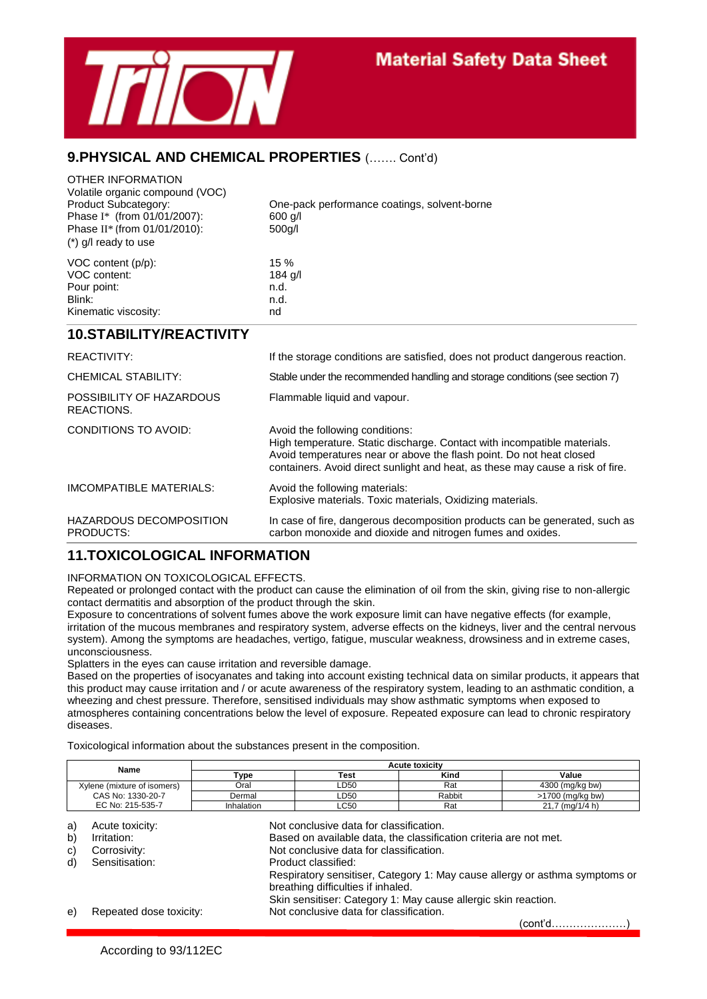

## **9.PHYSICAL AND CHEMICAL PROPERTIES** (……. Cont'd)

| OTHER INFORMATION<br>Volatile organic compound (VOC)<br>Product Subcategory:<br>Phase I* (from 01/01/2007):<br>Phase II* (from 01/01/2010):<br>$(*)$ g/l ready to use | One-pack performance coatings, solvent-borne<br>$600$ q/l<br>$500$ g/l                                                                                                                                                                                                |
|-----------------------------------------------------------------------------------------------------------------------------------------------------------------------|-----------------------------------------------------------------------------------------------------------------------------------------------------------------------------------------------------------------------------------------------------------------------|
| VOC content (p/p):<br>VOC content:<br>Pour point:<br>Blink:<br>Kinematic viscosity:                                                                                   | 15 %<br>$184$ g/l<br>n.d.<br>n.d.<br>nd                                                                                                                                                                                                                               |
| <b>10.STABILITY/REACTIVITY</b>                                                                                                                                        |                                                                                                                                                                                                                                                                       |
| <b>REACTIVITY:</b>                                                                                                                                                    | If the storage conditions are satisfied, does not product dangerous reaction.                                                                                                                                                                                         |
| CHEMICAL STABILITY:                                                                                                                                                   | Stable under the recommended handling and storage conditions (see section 7)                                                                                                                                                                                          |
| POSSIBILITY OF HAZARDOUS<br>REACTIONS.                                                                                                                                | Flammable liquid and vapour.                                                                                                                                                                                                                                          |
| CONDITIONS TO AVOID:                                                                                                                                                  | Avoid the following conditions:<br>High temperature. Static discharge. Contact with incompatible materials.<br>Avoid temperatures near or above the flash point. Do not heat closed<br>containers. Avoid direct sunlight and heat, as these may cause a risk of fire. |
| IMCOMPATIBLE MATERIALS:                                                                                                                                               | Avoid the following materials:<br>Explosive materials. Toxic materials, Oxidizing materials.                                                                                                                                                                          |
| <b>HAZARDOUS DECOMPOSITION</b><br>PRODUCTS:                                                                                                                           | In case of fire, dangerous decomposition products can be generated, such as<br>carbon monoxide and dioxide and nitrogen fumes and oxides.                                                                                                                             |

## **11.TOXICOLOGICAL INFORMATION**

INFORMATION ON TOXICOLOGICAL EFFECTS.

Repeated or prolonged contact with the product can cause the elimination of oil from the skin, giving rise to non-allergic contact dermatitis and absorption of the product through the skin.

Exposure to concentrations of solvent fumes above the work exposure limit can have negative effects (for example, irritation of the mucous membranes and respiratory system, adverse effects on the kidneys, liver and the central nervous system). Among the symptoms are headaches, vertigo, fatigue, muscular weakness, drowsiness and in extreme cases, unconsciousness.

Splatters in the eyes can cause irritation and reversible damage.

Based on the properties of isocyanates and taking into account existing technical data on similar products, it appears that this product may cause irritation and / or acute awareness of the respiratory system, leading to an asthmatic condition, a wheezing and chest pressure. Therefore, sensitised individuals may show asthmatic symptoms when exposed to atmospheres containing concentrations below the level of exposure. Repeated exposure can lead to chronic respiratory diseases.

Toxicological information about the substances present in the composition.

| Name                        | <b>Acute toxicity</b> |      |        |                  |  |
|-----------------------------|-----------------------|------|--------|------------------|--|
|                             | Туре                  | Test | Kind   | Value            |  |
| Xylene (mixture of isomers) | Oral                  | LD50 | Rat    | 4300 (mg/kg bw)  |  |
| CAS No: 1330-20-7           | Dermal                | LD50 | Rabbit | >1700 (ma/ka bw) |  |
| EC No: 215-535-7            | Inhalation            | LC50 | Rat    | 21,7 (mg/1/4 h)  |  |

a) Acute toxicity: Not conclusive data for classification. b) Irritation: Interest on available data, the classification criteria are not met. c) Corrosivity: Not conclusive data for classification. d) Sensitisation: Product classified: Respiratory sensitiser, Category 1: May cause allergy or asthma symptoms or breathing difficulties if inhaled. Skin sensitiser: Category 1: May cause allergic skin reaction. e) Repeated dose toxicity: Not conclusive data for classification.

(cont'd…………………)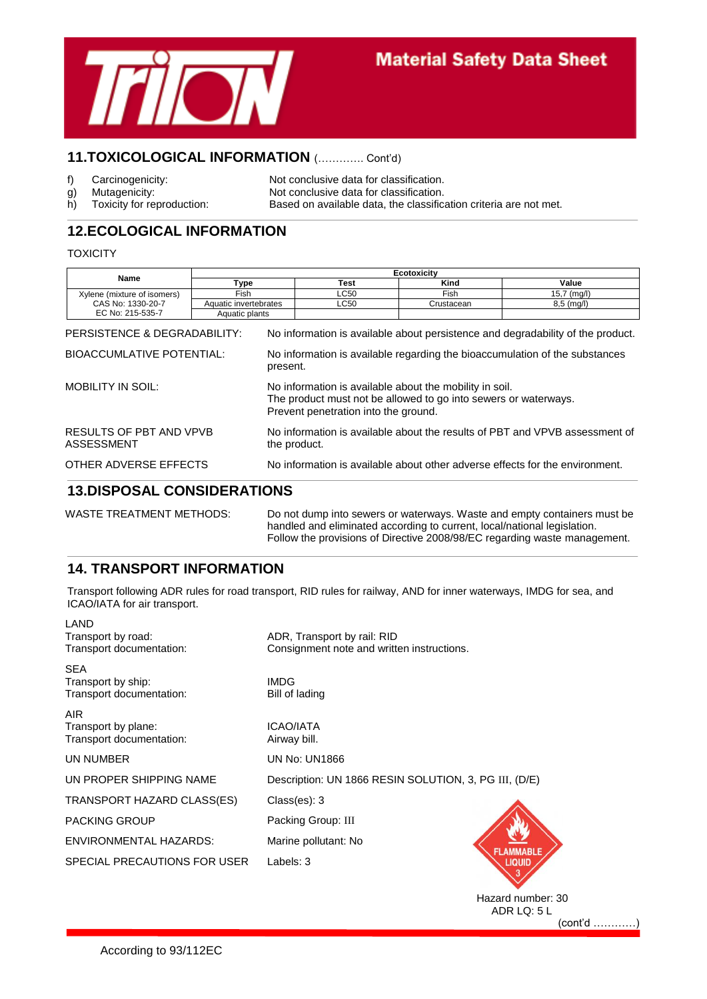

## **11.TOXICOLOGICAL INFORMATION** (…………. Cont'd)

- 
- 

f) Carcinogenicity: Not conclusive data for classification. g) Mutagenicity: Not conclusive data for classification.<br>
h) Toxicity for reproduction: Based on available data, the classification. h) Toxicity for reproduction: Based on available data, the classification criteria are not met.

## **12.ECOLOGICAL INFORMATION**

#### **TOXICITY**

| Name                                                      | Ecotoxicity           |                                                                                                                                                                    |      |            |                                                                                                                                                                |
|-----------------------------------------------------------|-----------------------|--------------------------------------------------------------------------------------------------------------------------------------------------------------------|------|------------|----------------------------------------------------------------------------------------------------------------------------------------------------------------|
|                                                           | Type                  |                                                                                                                                                                    | Test | Kind       | Value                                                                                                                                                          |
| Xylene (mixture of isomers)                               | Fish                  |                                                                                                                                                                    | LC50 | Fish       | $15,7 \ (mg/l)$                                                                                                                                                |
| CAS No: 1330-20-7                                         | Aquatic invertebrates |                                                                                                                                                                    | LC50 | Crustacean | $8,5 \ (mg/l)$                                                                                                                                                 |
| EC No: 215-535-7                                          | Aquatic plants        |                                                                                                                                                                    |      |            |                                                                                                                                                                |
| PERSISTENCE & DEGRADABILITY:<br>BIOACCUMLATIVE POTENTIAL: |                       | present.                                                                                                                                                           |      |            | No information is available about persistence and degradability of the product.<br>No information is available regarding the bioaccumulation of the substances |
| <b>MOBILITY IN SOIL:</b>                                  |                       | No information is available about the mobility in soil.<br>The product must not be allowed to go into sewers or waterways.<br>Prevent penetration into the ground. |      |            |                                                                                                                                                                |
| RESULTS OF PBT AND VPVB<br><b>ASSESSMENT</b>              |                       | No information is available about the results of PBT and VPVB assessment of<br>the product.                                                                        |      |            |                                                                                                                                                                |
| OTHER ADVERSE EFFECTS                                     |                       | No information is available about other adverse effects for the environment.                                                                                       |      |            |                                                                                                                                                                |
| <b>13.DISPOSAL CONSIDERATIONS</b>                         |                       |                                                                                                                                                                    |      |            |                                                                                                                                                                |

| WASTE TREATMENT METHODS: | Do not dump into sewers or waterways. Waste and empty containers must be  |
|--------------------------|---------------------------------------------------------------------------|
|                          | handled and eliminated according to current, local/national legislation.  |
|                          | Follow the provisions of Directive 2008/98/EC regarding waste management. |

## **14. TRANSPORT INFORMATION**

Transport following ADR rules for road transport, RID rules for railway, AND for inner waterways, IMDG for sea, and ICAO/IATA for air transport.

| LAND<br>Transport by road:<br>Transport documentation:       | ADR, Transport by rail: RID<br>Consignment note and written instructions. |
|--------------------------------------------------------------|---------------------------------------------------------------------------|
| <b>SEA</b><br>Transport by ship:<br>Transport documentation: | <b>IMDG</b><br>Bill of lading                                             |
| AIR.<br>Transport by plane:<br>Transport documentation:      | <b>ICAO/IATA</b><br>Airway bill.                                          |
| UN NUMBER                                                    | <b>UN No: UN1866</b>                                                      |
| UN PROPER SHIPPING NAME                                      | Description: UN 1866 RESIN SOLUTION, 3, PG III, (D/E)                     |
| TRANSPORT HAZARD CLASS(ES)                                   | Class(es): 3                                                              |
| <b>PACKING GROUP</b>                                         | Packing Group: III                                                        |
| <b>ENVIRONMENTAL HAZARDS:</b>                                | Marine pollutant: No                                                      |
| SPECIAL PRECAUTIONS FOR USER                                 | <b>AMMABLE</b><br>Labels: 3<br><b>LIQUID</b>                              |

Hazard number: 30 ADR LQ: 5 L (cont'd …………)